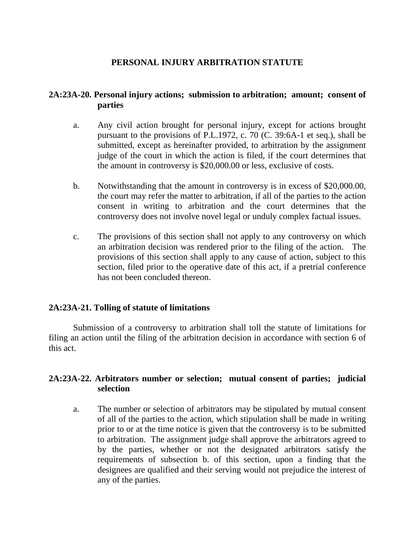# **PERSONAL INJURY ARBITRATION STATUTE**

# **2A:23A-20. Personal injury actions; submission to arbitration; amount; consent of parties**

- a. Any civil action brought for personal injury, except for actions brought pursuant to the provisions of P.L.1972, c. 70 (C. 39:6A-1 et seq.), shall be submitted, except as hereinafter provided, to arbitration by the assignment judge of the court in which the action is filed, if the court determines that the amount in controversy is \$20,000.00 or less, exclusive of costs.
- b. Notwithstanding that the amount in controversy is in excess of \$20,000.00, the court may refer the matter to arbitration, if all of the parties to the action consent in writing to arbitration and the court determines that the controversy does not involve novel legal or unduly complex factual issues.
- c. The provisions of this section shall not apply to any controversy on which an arbitration decision was rendered prior to the filing of the action. The provisions of this section shall apply to any cause of action, subject to this section, filed prior to the operative date of this act, if a pretrial conference has not been concluded thereon.

# **2A:23A-21. Tolling of statute of limitations**

 Submission of a controversy to arbitration shall toll the statute of limitations for filing an action until the filing of the arbitration decision in accordance with section 6 of this act.

# **2A:23A-22. Arbitrators number or selection; mutual consent of parties; judicial selection**

a. The number or selection of arbitrators may be stipulated by mutual consent of all of the parties to the action, which stipulation shall be made in writing prior to or at the time notice is given that the controversy is to be submitted to arbitration. The assignment judge shall approve the arbitrators agreed to by the parties, whether or not the designated arbitrators satisfy the requirements of subsection b. of this section, upon a finding that the designees are qualified and their serving would not prejudice the interest of any of the parties.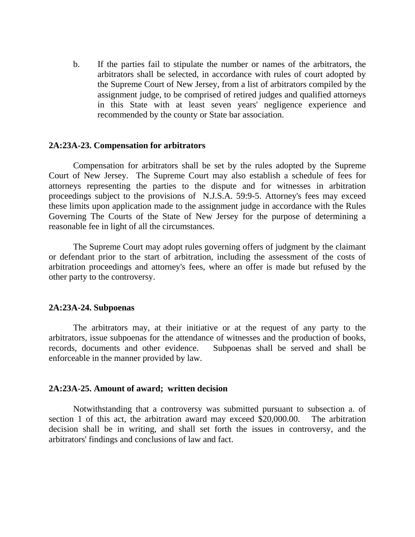b. If the parties fail to stipulate the number or names of the arbitrators, the arbitrators shall be selected, in accordance with rules of court adopted by the Supreme Court of New Jersey, from a list of arbitrators compiled by the assignment judge, to be comprised of retired judges and qualified attorneys in this State with at least seven years' negligence experience and recommended by the county or State bar association.

### **2A:23A-23. Compensation for arbitrators**

Compensation for arbitrators shall be set by the rules adopted by the Supreme Court of New Jersey. The Supreme Court may also establish a schedule of fees for attorneys representing the parties to the dispute and for witnesses in arbitration proceedings subject to the provisions of N.J.S.A. 59:9-5. Attorney's fees may exceed these limits upon application made to the assignment judge in accordance with the Rules Governing The Courts of the State of New Jersey for the purpose of determining a reasonable fee in light of all the circumstances.

The Supreme Court may adopt rules governing offers of judgment by the claimant or defendant prior to the start of arbitration, including the assessment of the costs of arbitration proceedings and attorney's fees, where an offer is made but refused by the other party to the controversy.

#### **2A:23A-24. Subpoenas**

The arbitrators may, at their initiative or at the request of any party to the arbitrators, issue subpoenas for the attendance of witnesses and the production of books, records, documents and other evidence. Subpoenas shall be served and shall be enforceable in the manner provided by law.

#### **2A:23A-25. Amount of award; written decision**

Notwithstanding that a controversy was submitted pursuant to subsection a. of section 1 of this act, the arbitration award may exceed \$20,000.00. The arbitration decision shall be in writing, and shall set forth the issues in controversy, and the arbitrators' findings and conclusions of law and fact.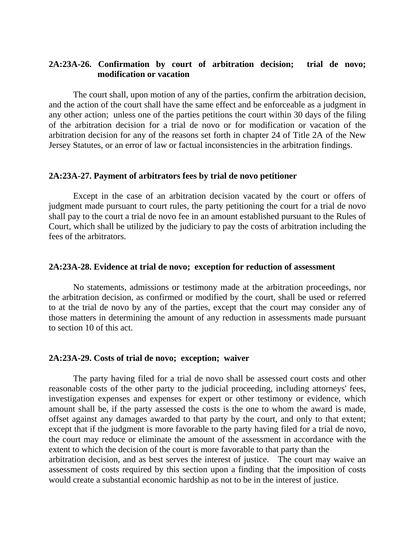### **2A:23A-26. Confirmation by court of arbitration decision; trial de novo; modification or vacation**

The court shall, upon motion of any of the parties, confirm the arbitration decision, and the action of the court shall have the same effect and be enforceable as a judgment in any other action; unless one of the parties petitions the court within 30 days of the filing of the arbitration decision for a trial de novo or for modification or vacation of the arbitration decision for any of the reasons set forth in chapter 24 of Title 2A of the New Jersey Statutes, or an error of law or factual inconsistencies in the arbitration findings.

### **2A:23A-27. Payment of arbitrators fees by trial de novo petitioner**

Except in the case of an arbitration decision vacated by the court or offers of judgment made pursuant to court rules, the party petitioning the court for a trial de novo shall pay to the court a trial de novo fee in an amount established pursuant to the Rules of Court, which shall be utilized by the judiciary to pay the costs of arbitration including the fees of the arbitrators.

### **2A:23A-28. Evidence at trial de novo; exception for reduction of assessment**

 No statements, admissions or testimony made at the arbitration proceedings, nor the arbitration decision, as confirmed or modified by the court, shall be used or referred to at the trial de novo by any of the parties, except that the court may consider any of those matters in determining the amount of any reduction in assessments made pursuant to section 10 of this act.

### **2A:23A-29. Costs of trial de novo; exception; waiver**

The party having filed for a trial de novo shall be assessed court costs and other reasonable costs of the other party to the judicial proceeding, including attorneys' fees, investigation expenses and expenses for expert or other testimony or evidence, which amount shall be, if the party assessed the costs is the one to whom the award is made, offset against any damages awarded to that party by the court, and only to that extent; except that if the judgment is more favorable to the party having filed for a trial de novo, the court may reduce or eliminate the amount of the assessment in accordance with the extent to which the decision of the court is more favorable to that party than the arbitration decision, and as best serves the interest of justice. The court may waive an assessment of costs required by this section upon a finding that the imposition of costs would create a substantial economic hardship as not to be in the interest of justice.